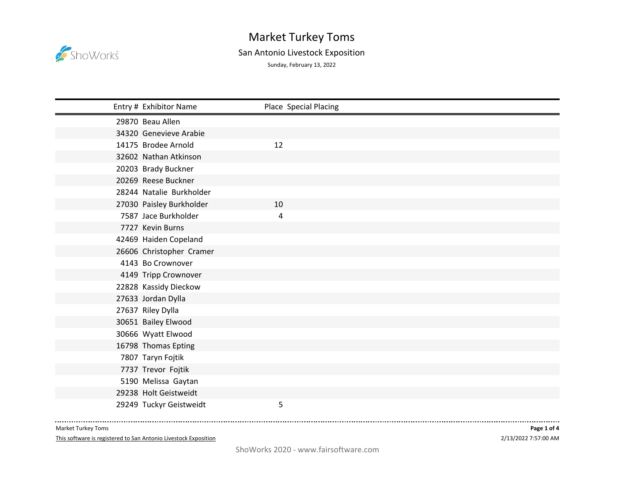

## Market Turkey Toms San Antonio Livestock Exposition

Sunday, February 13, 2022

| Entry # Exhibitor Name   | Place Special Placing |
|--------------------------|-----------------------|
| 29870 Beau Allen         |                       |
| 34320 Genevieve Arabie   |                       |
| 14175 Brodee Arnold      | 12                    |
| 32602 Nathan Atkinson    |                       |
| 20203 Brady Buckner      |                       |
| 20269 Reese Buckner      |                       |
| 28244 Natalie Burkholder |                       |
| 27030 Paisley Burkholder | 10                    |
| 7587 Jace Burkholder     | 4                     |
| 7727 Kevin Burns         |                       |
| 42469 Haiden Copeland    |                       |
| 26606 Christopher Cramer |                       |
| 4143 Bo Crownover        |                       |
| 4149 Tripp Crownover     |                       |
| 22828 Kassidy Dieckow    |                       |
| 27633 Jordan Dylla       |                       |
| 27637 Riley Dylla        |                       |
| 30651 Bailey Elwood      |                       |
| 30666 Wyatt Elwood       |                       |
| 16798 Thomas Epting      |                       |
| 7807 Taryn Fojtik        |                       |
| 7737 Trevor Fojtik       |                       |
| 5190 Melissa Gaytan      |                       |
| 29238 Holt Geistweidt    |                       |
| 29249 Tuckyr Geistweidt  | 5                     |

Market Turkey Toms

This software is registered to San Antonio Livestock Exposition

-----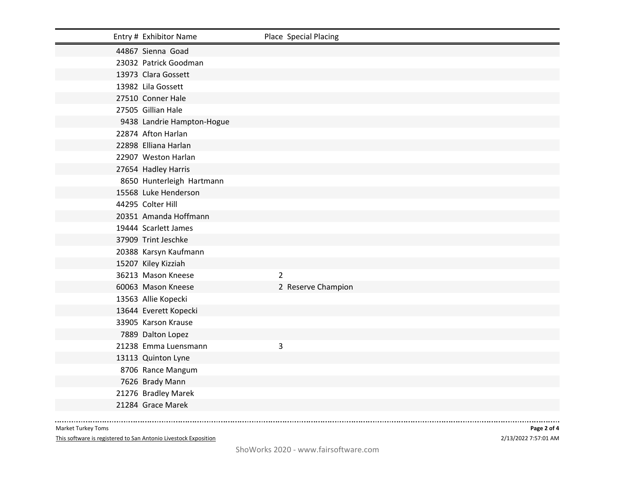| Entry # Exhibitor Name     | Place Special Placing |
|----------------------------|-----------------------|
| 44867 Sienna Goad          |                       |
| 23032 Patrick Goodman      |                       |
| 13973 Clara Gossett        |                       |
| 13982 Lila Gossett         |                       |
| 27510 Conner Hale          |                       |
| 27505 Gillian Hale         |                       |
| 9438 Landrie Hampton-Hogue |                       |
| 22874 Afton Harlan         |                       |
| 22898 Elliana Harlan       |                       |
| 22907 Weston Harlan        |                       |
| 27654 Hadley Harris        |                       |
| 8650 Hunterleigh Hartmann  |                       |
| 15568 Luke Henderson       |                       |
| 44295 Colter Hill          |                       |
| 20351 Amanda Hoffmann      |                       |
| 19444 Scarlett James       |                       |
| 37909 Trint Jeschke        |                       |
| 20388 Karsyn Kaufmann      |                       |
| 15207 Kiley Kizziah        |                       |
| 36213 Mason Kneese         | $\overline{2}$        |
| 60063 Mason Kneese         | 2 Reserve Champion    |
| 13563 Allie Kopecki        |                       |
| 13644 Everett Kopecki      |                       |
| 33905 Karson Krause        |                       |
| 7889 Dalton Lopez          |                       |
| 21238 Emma Luensmann       | 3                     |
| 13113 Quinton Lyne         |                       |
| 8706 Rance Mangum          |                       |
| 7626 Brady Mann            |                       |
| 21276 Bradley Marek        |                       |
| 21284 Grace Marek          |                       |

Market Turkey Toms

--------------

This software is registered to San Antonio Livestock Exposition

2/13/2022 7:57:01 AM **Page 2 of 4**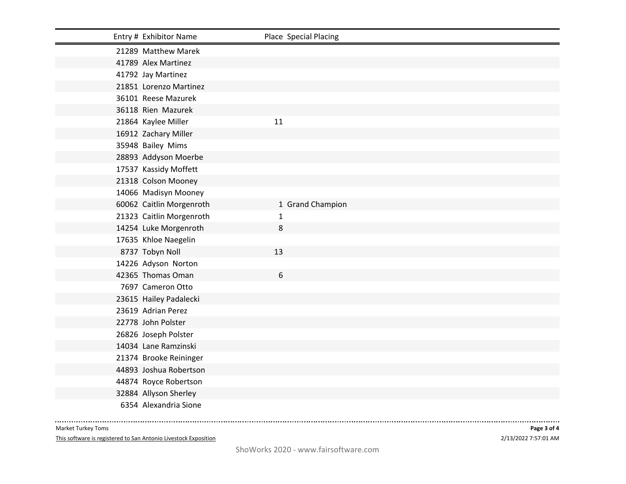| Entry # Exhibitor Name   |    | Place Special Placing |
|--------------------------|----|-----------------------|
| 21289 Matthew Marek      |    |                       |
| 41789 Alex Martinez      |    |                       |
| 41792 Jay Martinez       |    |                       |
| 21851 Lorenzo Martinez   |    |                       |
| 36101 Reese Mazurek      |    |                       |
| 36118 Rien Mazurek       |    |                       |
| 21864 Kaylee Miller      | 11 |                       |
| 16912 Zachary Miller     |    |                       |
| 35948 Bailey Mims        |    |                       |
| 28893 Addyson Moerbe     |    |                       |
| 17537 Kassidy Moffett    |    |                       |
| 21318 Colson Mooney      |    |                       |
| 14066 Madisyn Mooney     |    |                       |
| 60062 Caitlin Morgenroth |    | 1 Grand Champion      |
| 21323 Caitlin Morgenroth | 1  |                       |
| 14254 Luke Morgenroth    | 8  |                       |
| 17635 Khloe Naegelin     |    |                       |
| 8737 Tobyn Noll          | 13 |                       |
| 14226 Adyson Norton      |    |                       |
| 42365 Thomas Oman        | 6  |                       |
| 7697 Cameron Otto        |    |                       |
| 23615 Hailey Padalecki   |    |                       |
| 23619 Adrian Perez       |    |                       |
| 22778 John Polster       |    |                       |
| 26826 Joseph Polster     |    |                       |
| 14034 Lane Ramzinski     |    |                       |
| 21374 Brooke Reininger   |    |                       |
| 44893 Joshua Robertson   |    |                       |
| 44874 Royce Robertson    |    |                       |
| 32884 Allyson Sherley    |    |                       |
| 6354 Alexandria Sione    |    |                       |

Market Turkey Toms

--------------

This software is registered to San Antonio Livestock Exposition